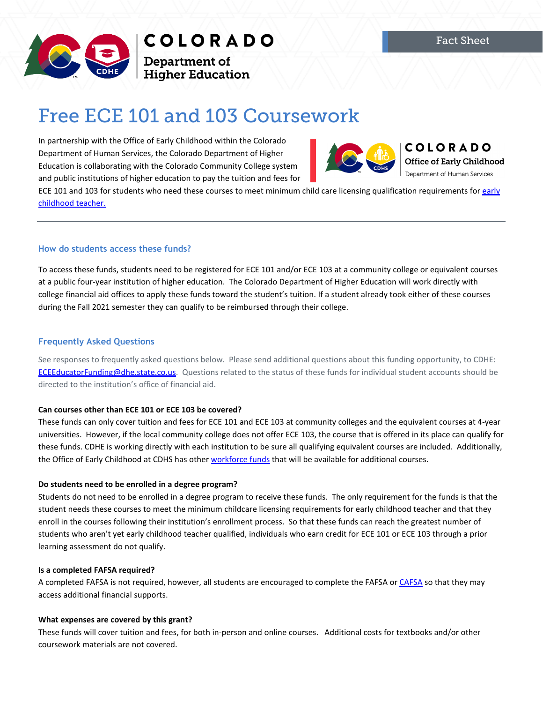

COLORADO

**Department of<br>Higher Education** 

# Free ECE 101 and 103 Coursework

In partnership with the Office of Early Childhood within the Colorado Department of Human Services, the Colorado Department of Higher Education is collaborating with the Colorado Community College system and public institutions of higher education to pay the tuition and fees for



**COLORADO Office of Early Childhood** Department of Human Services

ECE 101 and 103 for students who need these courses to meet minimum child care licensing qualification requirements for early [childhood teacher.](https://dcfs.my.salesforce.com/sfc/p/#410000012srR/a/4N000000a9wT/9tW8EMbZrZMnUH3oQdsYMMZG.bj.x9kdaUMMNDZ5yMk)

# **How do students access these funds?**

To access these funds, students need to be registered for ECE 101 and/or ECE 103 at a community college or equivalent courses at a public four-year institution of higher education. The Colorado Department of Higher Education will work directly with college financial aid offices to apply these funds toward the student's tuition. If a student already took either of these courses during the Fall 2021 semester they can qualify to be reimbursed through their college.

# **Frequently Asked Questions**

See responses to frequently asked questions below. Please send additional questions about this funding opportunity, to CDHE: [ECEEducatorFunding@dhe.state.co.us.](mailto:ECEEducatorFunding@dhe.state.co.us) Questions related to the status of these funds for individual student accounts should be directed to the institution's office of financial aid.

# **Can courses other than ECE 101 or ECE 103 be covered?**

These funds can only cover tuition and fees for ECE 101 and ECE 103 at community colleges and the equivalent courses at 4-year universities. However, if the local community college does not offer ECE 103, the course that is offered in its place can qualify for these funds. CDHE is working directly with each institution to be sure all qualifying equivalent courses are included. Additionally, the Office of Early Childhood at CDHS has other [workforce funds](https://drive.google.com/file/d/1hDSiRMCMe7mappGpkNK_mSa_ydGL9bJJ/view) that will be available for additional courses.

### **Do students need to be enrolled in a degree program?**

Students do not need to be enrolled in a degree program to receive these funds. The only requirement for the funds is that the student needs these courses to meet the minimum childcare licensing requirements for early childhood teacher and that they enroll in the courses following their institution's enrollment process. So that these funds can reach the greatest number of students who aren't yet early childhood teacher qualified, individuals who earn credit for ECE 101 or ECE 103 through a prior learning assessment do not qualify.

### **Is a completed FAFSA required?**

A completed FAFSA is not required, however, all students are encouraged to complete the FAFSA o[r CAFSA](https://highered.colorado.gov/students/preparing-for-college/colorado-application-for-state-financial-aid) so that they may access additional financial supports.

# **What expenses are covered by this grant?**

These funds will cover tuition and fees, for both in-person and online courses. Additional costs for textbooks and/or other coursework materials are not covered.